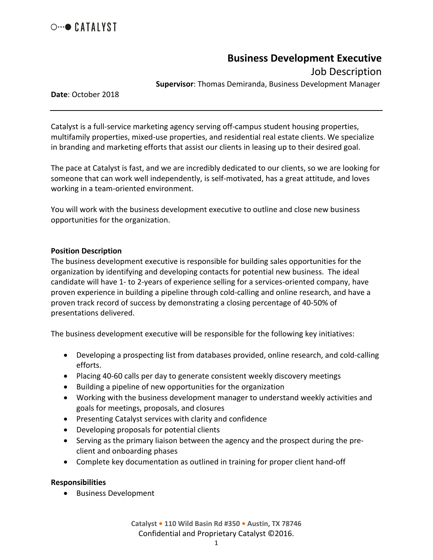

# **Business Development Executive**

Job Description

**Supervisor**: Thomas Demiranda, Business Development Manager

**Date**: October 2018

Catalyst is a full-service marketing agency serving off-campus student housing properties, multifamily properties, mixed-use properties, and residential real estate clients. We specialize in branding and marketing efforts that assist our clients in leasing up to their desired goal.

The pace at Catalyst is fast, and we are incredibly dedicated to our clients, so we are looking for someone that can work well independently, is self-motivated, has a great attitude, and loves working in a team-oriented environment.

You will work with the business development executive to outline and close new business opportunities for the organization.

## **Position Description**

The business development executive is responsible for building sales opportunities for the organization by identifying and developing contacts for potential new business. The ideal candidate will have 1- to 2-years of experience selling for a services-oriented company, have proven experience in building a pipeline through cold-calling and online research, and have a proven track record of success by demonstrating a closing percentage of 40-50% of presentations delivered.

The business development executive will be responsible for the following key initiatives:

- Developing a prospecting list from databases provided, online research, and cold-calling efforts.
- Placing 40-60 calls per day to generate consistent weekly discovery meetings
- Building a pipeline of new opportunities for the organization
- Working with the business development manager to understand weekly activities and goals for meetings, proposals, and closures
- Presenting Catalyst services with clarity and confidence
- Developing proposals for potential clients
- Serving as the primary liaison between the agency and the prospect during the preclient and onboarding phases
- Complete key documentation as outlined in training for proper client hand-off

## **Responsibilities**

• Business Development

**Catalyst • 110 Wild Basin Rd #350 • Austin, TX 78746** Confidential and Proprietary Catalyst ©2016.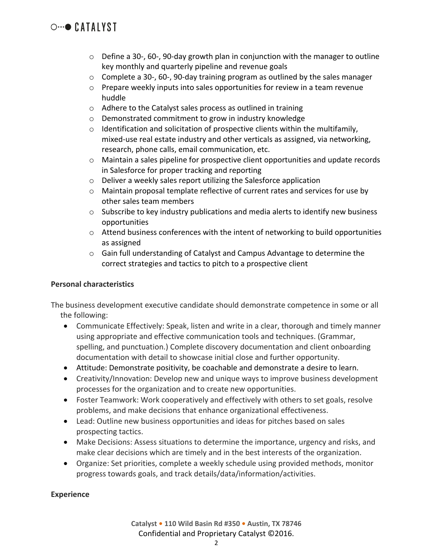# $\circ \cdot \cdot \bullet$  CATALYST

- $\circ$  Define a 30-, 60-, 90-day growth plan in conjunction with the manager to outline key monthly and quarterly pipeline and revenue goals
- $\circ$  Complete a 30-, 60-, 90-day training program as outlined by the sales manager
- $\circ$  Prepare weekly inputs into sales opportunities for review in a team revenue huddle
- o Adhere to the Catalyst sales process as outlined in training
- o Demonstrated commitment to grow in industry knowledge
- $\circ$  Identification and solicitation of prospective clients within the multifamily, mixed-use real estate industry and other verticals as assigned, via networking, research, phone calls, email communication, etc.
- $\circ$  Maintain a sales pipeline for prospective client opportunities and update records in Salesforce for proper tracking and reporting
- o Deliver a weekly sales report utilizing the Salesforce application
- $\circ$  Maintain proposal template reflective of current rates and services for use by other sales team members
- o Subscribe to key industry publications and media alerts to identify new business opportunities
- o Attend business conferences with the intent of networking to build opportunities as assigned
- o Gain full understanding of Catalyst and Campus Advantage to determine the correct strategies and tactics to pitch to a prospective client

# **Personal characteristics**

The business development executive candidate should demonstrate competence in some or all the following:

- Communicate Effectively: Speak, listen and write in a clear, thorough and timely manner using appropriate and effective communication tools and techniques. (Grammar, spelling, and punctuation.) Complete discovery documentation and client onboarding documentation with detail to showcase initial close and further opportunity.
- Attitude: Demonstrate positivity, be coachable and demonstrate a desire to learn.
- Creativity/Innovation: Develop new and unique ways to improve business development processes for the organization and to create new opportunities.
- Foster Teamwork: Work cooperatively and effectively with others to set goals, resolve problems, and make decisions that enhance organizational effectiveness.
- Lead: Outline new business opportunities and ideas for pitches based on sales prospecting tactics.
- Make Decisions: Assess situations to determine the importance, urgency and risks, and make clear decisions which are timely and in the best interests of the organization.
- Organize: Set priorities, complete a weekly schedule using provided methods, monitor progress towards goals, and track details/data/information/activities.

## **Experience**

**Catalyst • 110 Wild Basin Rd #350 • Austin, TX 78746** Confidential and Proprietary Catalyst ©2016.